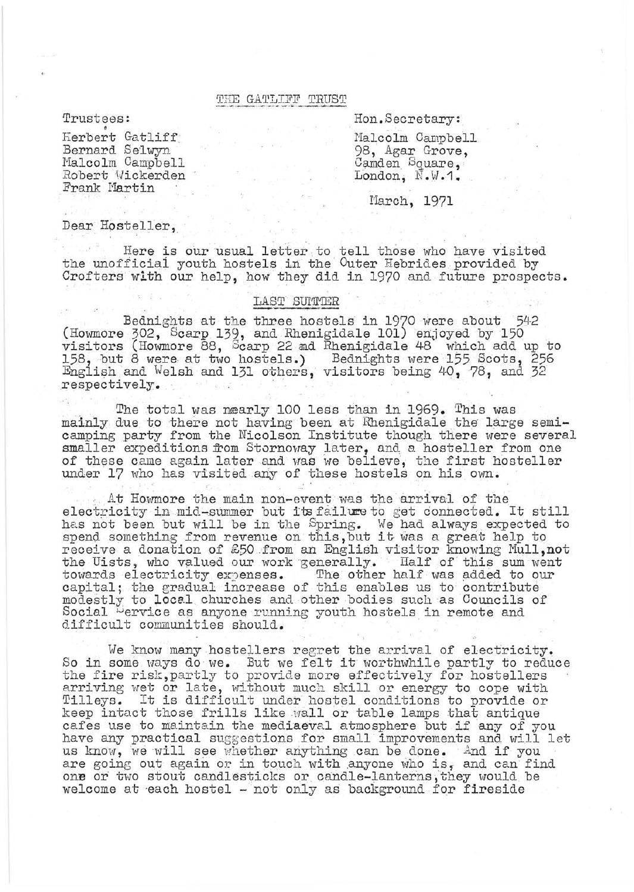## THE GATLIFF TRUST

Trustees:

Herbert Gatliff Bernard Selwyn Malcolm Campbell Robert Wickerden Frank Martin

Hon.Secretary:

Malcolm Campbell 98, Agar Grove, Camden Square, London,  $\mathbb{N} \cdot \mathbb{V} \cdot 1$ .

March, 1971

Dear Hosteller,

Here is our usual letter to tell those who have visited<br>the unofficial youth hostels in the Outer Hebrides provided by Crofters with our help, how they did in 1970 and future prospects.

## LAST SUMMER

Bednights at the three hostels in 1970 were about 542<br>(Howmore 302, Scarp 139, and Rhenigidale 101) enjoyed by 150<br>visitors (Howmore 88, Scarp 22 ad Rhenigidale 48 which add up to<br>158, but 8 were at two hostels.) Bednights respectively.

The total was nearly 100 less than in 1969. This was mainly due to there not having been at Rhenigidale the large semi-<br>camping party from the Nicolson Institute though there were several smaller expeditions from Stornoway later, and a hosteller from one of these came again later and was we believe, the first hosteller under 17 who has visited any of these hostels on his own.

At Howmore the main non-event was the arrival of the electricity in mid-summer but its failure to get connected. It still has not been but will be in the Spring. We had always expected to spend something from revenue on this, but it was a great help to receive a donation of £50 from an English visitor knowing Mull, not the Uists, who valued our work generally. Half of this sum went towards electricity expenses. The other half was added to our capital; the gradual increase of this enables us to contribute modestly to local churches and other bodies such as Councils of Social Dervice as anyone running youth hostels in remote and difficult communities should.

We know many hostellers regret the arrival of electricity. So in some ways do we. But we felt it worthwhile partly to reduce the fire risk, partly to provide more effectively for hostellers arriving wet or late, without much skill or energy to cope with<br>Tilleys. It is difficult under hostel conditions to provide or<br>keep intact those frills like wall or table lamps that antique cafes use to maintain the mediaeval atmosphere but if any of you have any practical suggestions for small improvements and will let us know, we will see whether anything can be done. And if you are going out again or in touch with anyone who is, and can find one or two stout candlesticks or candle-lanterns, they would be welcome at each hostel - not only as background for fireside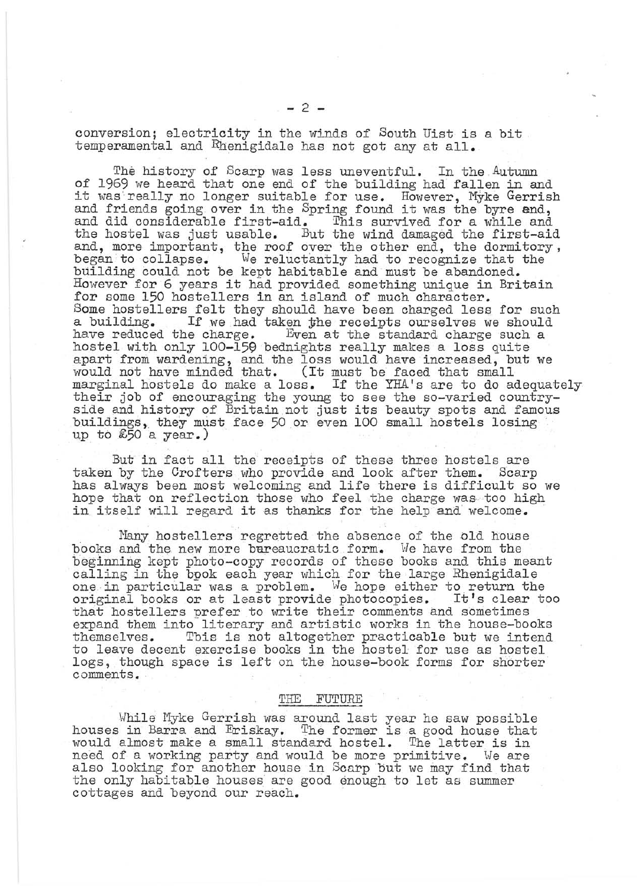conversion; electricity in the winds of South Uist is a bit temperamental and Rhenigidale has not got any at **all.** 

The history of Scarp was less uneventful. In the Autumn of 1969 we heard that one end of the building had fallen in and it was really no longer suitable for use. However, Myke Gerrish and friends going over in the Spring found it was the byre end, and did considerable first-aid. This survived for a while and the hostel was just usable. But the wind damaged the first-aid and, more important, the roof over the other end, the dormitory, began to collapse. We reluctantly had to recognize that the began to collapse. We reluctantly had to recognize that the building could not be kept habitable and must be abandoned. However for 6 years it had provided something unique in Britain for some 150 hostellers in an island of much character. Some hostellers felt they should have been charged less for such a building. If we had taken the receipts ourselves we should have reduced the charge. Even at the standard charge such a hostel with only 100-159 bednights really makes a loss quite apart from wardening, and the loss would have increased, but we would not have minded that. (It must be faced that small marginal hostels do make a loss. If the YHA's are to do adequately their job of encouraging the young to see the so-varied countryside and history of Britain not just its beauty spots and famous buildings, they must face 50 or even 100 small hostels losing up to  $£50$  a year.)

But in fact all the receipts of these three hostels are taken by the Crofters who provide and look after them. Scarp has always been most welcoming and life there is difficult so we hope that on reflection those who feel the charge was too high in itself will regard it as thanks for the help and welcome.

Many hostellers regretted the absence of the old house books and the new more bureaucratic form. We have from the beginning kept photo-copy records of these books and this meant calling in the book each year which for the large Rhenigidale one in particular was a problem. We hope either to return the one in particular was a problem. We hope either to return the<br>original books or at least provide photocopies. It's clear too that hostellers prefer to write their comments and sometimes expand them into literary and artistic works in the house-books themselves. Tbis is not altogether practicable but we intend to leave decent exercise books in the hostel for use as hostel logs, though space is left on the house-book forms for shorter comments.

## THE FUTURE

While Myke Gerrish was around last year he saw possible houses in Barra and Eriskay. The former is a good house that would almost make a small standard hostel. The latter is in need of a working party and would be more primitive. We are also looking for another house in Scarp but we may find that the only habitable houses are good enough to let as summer cottages and beyond our reach.